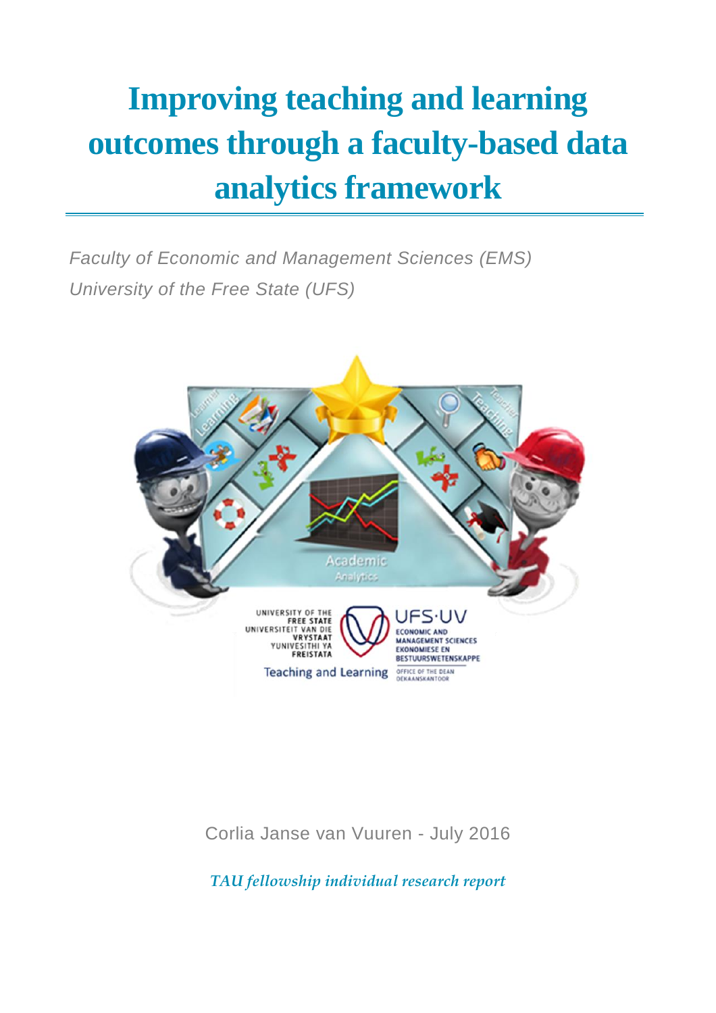# **Improving teaching and learning outcomes through a faculty-based data analytics framework**

*Faculty of Economic and Management Sciences (EMS) University of the Free State (UFS)*



Corlia Janse van Vuuren - July 2016

*TAU fellowship individual research report*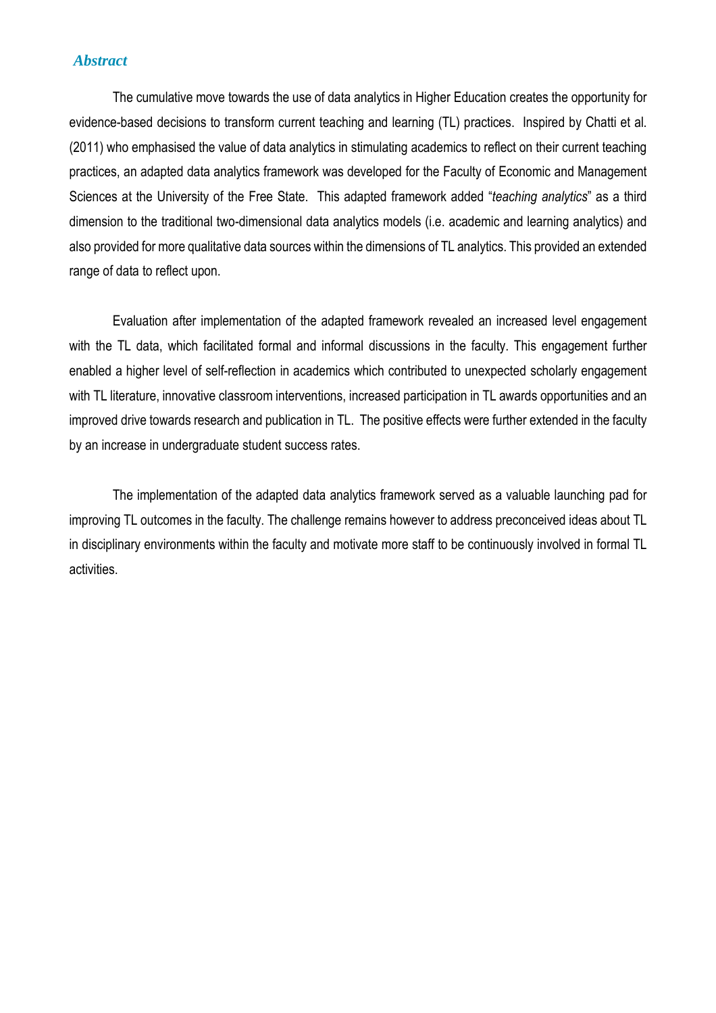### *Abstract*

The cumulative move towards the use of data analytics in Higher Education creates the opportunity for evidence-based decisions to transform current teaching and learning (TL) practices. Inspired by Chatti et al. (2011) who emphasised the value of data analytics in stimulating academics to reflect on their current teaching practices, an adapted data analytics framework was developed for the Faculty of Economic and Management Sciences at the University of the Free State. This adapted framework added "*teaching analytics*" as a third dimension to the traditional two-dimensional data analytics models (i.e. academic and learning analytics) and also provided for more qualitative data sources within the dimensions of TL analytics. This provided an extended range of data to reflect upon.

Evaluation after implementation of the adapted framework revealed an increased level engagement with the TL data, which facilitated formal and informal discussions in the faculty. This engagement further enabled a higher level of self-reflection in academics which contributed to unexpected scholarly engagement with TL literature, innovative classroom interventions, increased participation in TL awards opportunities and an improved drive towards research and publication in TL. The positive effects were further extended in the faculty by an increase in undergraduate student success rates.

The implementation of the adapted data analytics framework served as a valuable launching pad for improving TL outcomes in the faculty. The challenge remains however to address preconceived ideas about TL in disciplinary environments within the faculty and motivate more staff to be continuously involved in formal TL activities.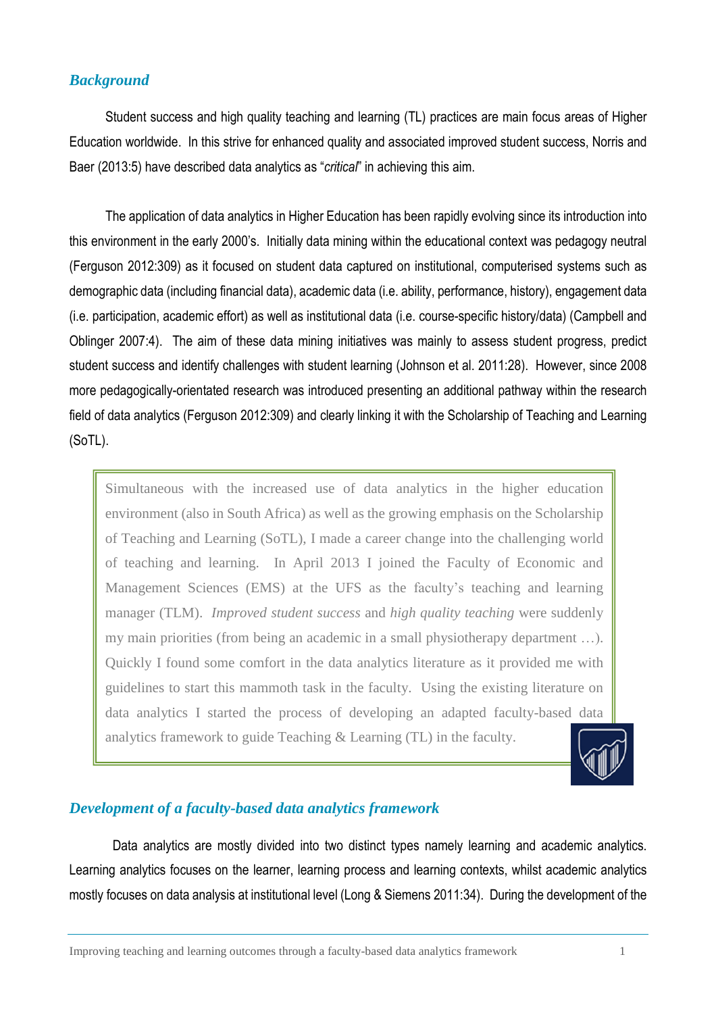## *Background*

Student success and high quality teaching and learning (TL) practices are main focus areas of Higher Education worldwide. In this strive for enhanced quality and associated improved student success, Norris and Baer (2013:5) have described data analytics as "*critical*" in achieving this aim.

The application of data analytics in Higher Education has been rapidly evolving since its introduction into this environment in the early 2000's. Initially data mining within the educational context was pedagogy neutral (Ferguson 2012:309) as it focused on student data captured on institutional, computerised systems such as demographic data (including financial data), academic data (i.e. ability, performance, history), engagement data (i.e. participation, academic effort) as well as institutional data (i.e. course-specific history/data) (Campbell and Oblinger 2007:4). The aim of these data mining initiatives was mainly to assess student progress, predict student success and identify challenges with student learning (Johnson et al. 2011:28). However, since 2008 more pedagogically-orientated research was introduced presenting an additional pathway within the research field of data analytics (Ferguson 2012:309) and clearly linking it with the Scholarship of Teaching and Learning (SoTL).

Simultaneous with the increased use of data analytics in the higher education environment (also in South Africa) as well as the growing emphasis on the Scholarship of Teaching and Learning (SoTL), I made a career change into the challenging world of teaching and learning. In April 2013 I joined the Faculty of Economic and Management Sciences (EMS) at the UFS as the faculty's teaching and learning manager (TLM). *Improved student success* and *high quality teaching* were suddenly my main priorities (from being an academic in a small physiotherapy department …). Quickly I found some comfort in the data analytics literature as it provided me with guidelines to start this mammoth task in the faculty. Using the existing literature on data analytics I started the process of developing an adapted faculty-based data analytics framework to guide Teaching & Learning (TL) in the faculty.



## *Development of a faculty-based data analytics framework*

Data analytics are mostly divided into two distinct types namely learning and academic analytics. Learning analytics focuses on the learner, learning process and learning contexts, whilst academic analytics mostly focuses on data analysis at institutional level (Long & Siemens 2011:34). During the development of the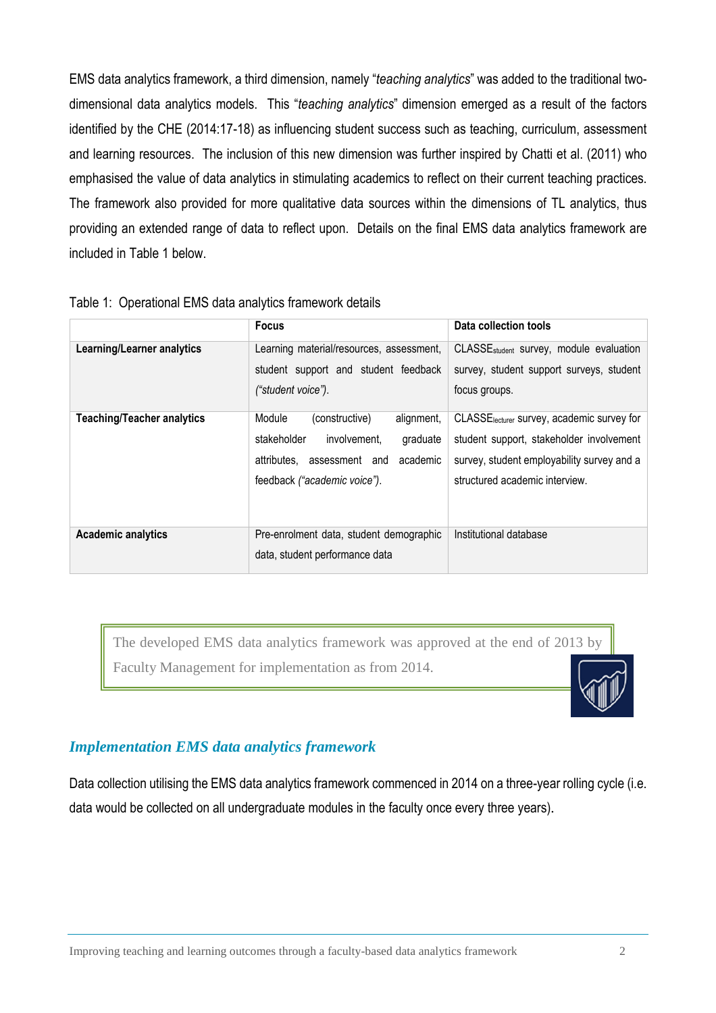EMS data analytics framework, a third dimension, namely "*teaching analytics*" was added to the traditional twodimensional data analytics models. This "*teaching analytics*" dimension emerged as a result of the factors identified by the CHE (2014:17-18) as influencing student success such as teaching, curriculum, assessment and learning resources. The inclusion of this new dimension was further inspired by Chatti et al. (2011) who emphasised the value of data analytics in stimulating academics to reflect on their current teaching practices. The framework also provided for more qualitative data sources within the dimensions of TL analytics, thus providing an extended range of data to reflect upon. Details on the final EMS data analytics framework are included in Table 1 below.

|                                   | <b>Focus</b>                                                                                                                                                   | Data collection tools                                                                                                                                                              |
|-----------------------------------|----------------------------------------------------------------------------------------------------------------------------------------------------------------|------------------------------------------------------------------------------------------------------------------------------------------------------------------------------------|
| Learning/Learner analytics        | Learning material/resources, assessment,<br>student support and student feedback<br>("student voice").                                                         | CLASSE <sub>student</sub> survey, module evaluation<br>survey, student support surveys, student<br>focus groups.                                                                   |
| <b>Teaching/Teacher analytics</b> | (constructive)<br>alignment,<br>Module<br>stakeholder<br>involvement,<br>graduate<br>academic<br>attributes.<br>assessment and<br>feedback ("academic voice"). | CLASSE <sub>lecturer</sub> survey, academic survey for<br>student support, stakeholder involvement<br>survey, student employability survey and a<br>structured academic interview. |
| <b>Academic analytics</b>         | Pre-enrolment data, student demographic<br>data, student performance data                                                                                      | Institutional database                                                                                                                                                             |

#### Table 1: Operational EMS data analytics framework details

The developed EMS data analytics framework was approved at the end of 2013 by Faculty Management for implementation as from 2014.

## *Implementation EMS data analytics framework*

Data collection utilising the EMS data analytics framework commenced in 2014 on a three-year rolling cycle (i.e. data would be collected on all undergraduate modules in the faculty once every three years).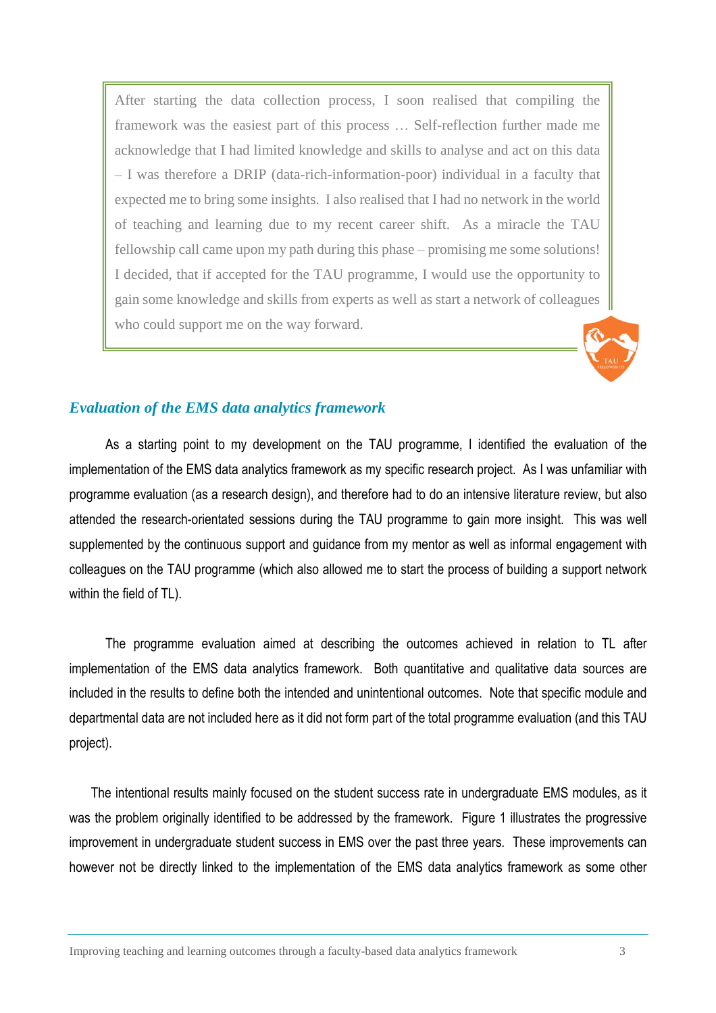After starting the data collection process, I soon realised that compiling the framework was the easiest part of this process … Self-reflection further made me acknowledge that I had limited knowledge and skills to analyse and act on this data – I was therefore a DRIP (data-rich-information-poor) individual in a faculty that expected me to bring some insights. I also realised that I had no network in the world of teaching and learning due to my recent career shift. As a miracle the TAU fellowship call came upon my path during this phase – promising me some solutions! I decided, that if accepted for the TAU programme, I would use the opportunity to gain some knowledge and skills from experts as well as start a network of colleagues who could support me on the way forward.



## *Evaluation of the EMS data analytics framework*

As a starting point to my development on the TAU programme, I identified the evaluation of the implementation of the EMS data analytics framework as my specific research project. As I was unfamiliar with programme evaluation (as a research design), and therefore had to do an intensive literature review, but also attended the research-orientated sessions during the TAU programme to gain more insight. This was well supplemented by the continuous support and guidance from my mentor as well as informal engagement with colleagues on the TAU programme (which also allowed me to start the process of building a support network within the field of TL).

The programme evaluation aimed at describing the outcomes achieved in relation to TL after implementation of the EMS data analytics framework. Both quantitative and qualitative data sources are included in the results to define both the intended and unintentional outcomes. Note that specific module and departmental data are not included here as it did not form part of the total programme evaluation (and this TAU project).

The intentional results mainly focused on the student success rate in undergraduate EMS modules, as it was the problem originally identified to be addressed by the framework. Figure 1 illustrates the progressive improvement in undergraduate student success in EMS over the past three years. These improvements can however not be directly linked to the implementation of the EMS data analytics framework as some other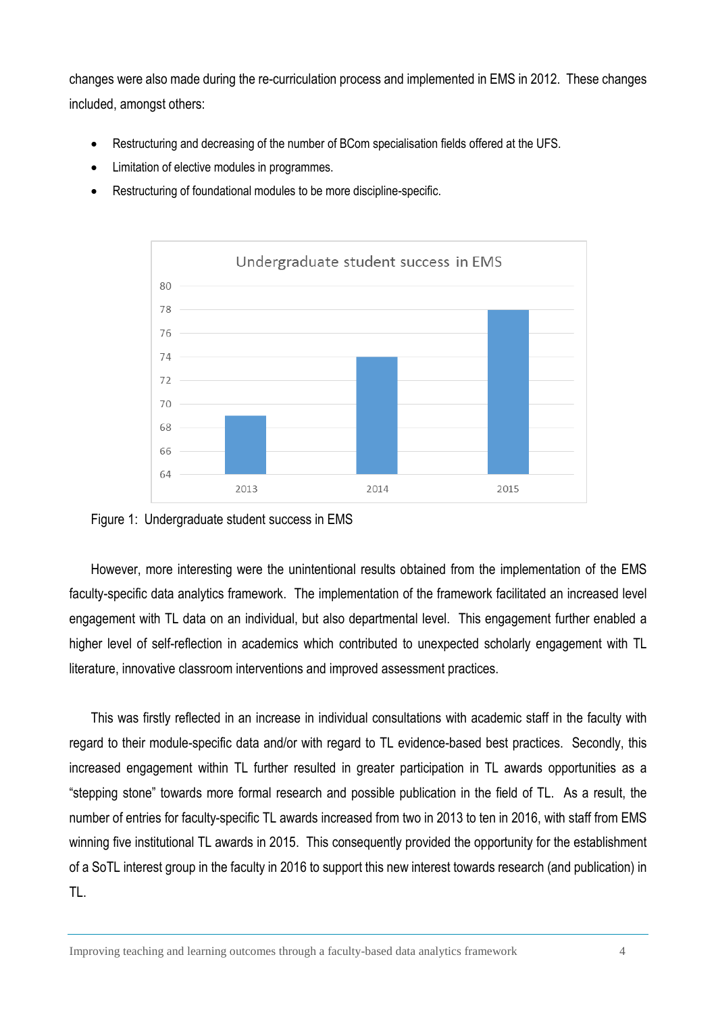changes were also made during the re-curriculation process and implemented in EMS in 2012. These changes included, amongst others:

- Restructuring and decreasing of the number of BCom specialisation fields offered at the UFS.
- Limitation of elective modules in programmes.
- Restructuring of foundational modules to be more discipline-specific.



Figure 1: Undergraduate student success in EMS

However, more interesting were the unintentional results obtained from the implementation of the EMS faculty-specific data analytics framework. The implementation of the framework facilitated an increased level engagement with TL data on an individual, but also departmental level. This engagement further enabled a higher level of self-reflection in academics which contributed to unexpected scholarly engagement with TL literature, innovative classroom interventions and improved assessment practices.

This was firstly reflected in an increase in individual consultations with academic staff in the faculty with regard to their module-specific data and/or with regard to TL evidence-based best practices. Secondly, this increased engagement within TL further resulted in greater participation in TL awards opportunities as a "stepping stone" towards more formal research and possible publication in the field of TL. As a result, the number of entries for faculty-specific TL awards increased from two in 2013 to ten in 2016, with staff from EMS winning five institutional TL awards in 2015. This consequently provided the opportunity for the establishment of a SoTL interest group in the faculty in 2016 to support this new interest towards research (and publication) in TL.